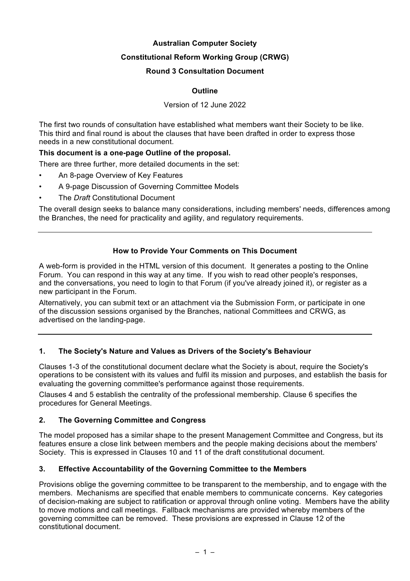## **Australian Computer Society**

## **Constitutional Reform Working Group (CRWG)**

### **Round 3 Consultation Document**

## **Outline**

### Version of 12 June 2022

The first two rounds of consultation have established what members want their Society to be like. This third and final round is about the clauses that have been drafted in order to express those needs in a new constitutional document.

### **This document is a one-page Outline of the proposal.**

There are three further, more detailed documents in the set:

- An 8-page Overview of Key Features
- A 9-page Discussion of Governing Committee Models
- The *Draft* Constitutional Document

The overall design seeks to balance many considerations, including members' needs, differences among the Branches, the need for practicality and agility, and regulatory requirements.

## **How to Provide Your Comments on This Document**

A web-form is provided in the HTML version of this document. It generates a posting to the Online Forum. You can respond in this way at any time. If you wish to read other people's responses, and the conversations, you need to login to that Forum (if you've already joined it), or register as a new participant in the Forum.

Alternatively, you can submit text or an attachment via the Submission Form, or participate in one of the discussion sessions organised by the Branches, national Committees and CRWG, as advertised on the landing-page.

# **1. The Society's Nature and Values as Drivers of the Society's Behaviour**

Clauses 1-3 of the constitutional document declare what the Society is about, require the Society's operations to be consistent with its values and fulfil its mission and purposes, and establish the basis for evaluating the governing committee's performance against those requirements.

Clauses 4 and 5 establish the centrality of the professional membership. Clause 6 specifies the procedures for General Meetings.

# **2. The Governing Committee and Congress**

The model proposed has a similar shape to the present Management Committee and Congress, but its features ensure a close link between members and the people making decisions about the members' Society. This is expressed in Clauses 10 and 11 of the draft constitutional document.

# **3. Effective Accountability of the Governing Committee to the Members**

Provisions oblige the governing committee to be transparent to the membership, and to engage with the members. Mechanisms are specified that enable members to communicate concerns. Key categories of decision-making are subject to ratification or approval through online voting. Members have the ability to move motions and call meetings. Fallback mechanisms are provided whereby members of the governing committee can be removed. These provisions are expressed in Clause 12 of the constitutional document.